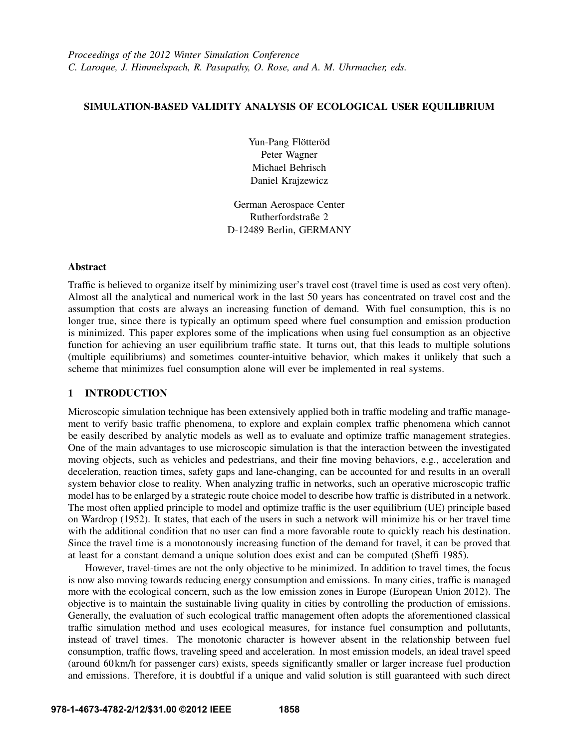# SIMULATION-BASED VALIDITY ANALYSIS OF ECOLOGICAL USER EQUILIBRIUM

Yun-Pang Flötteröd Peter Wagner Michael Behrisch Daniel Krajzewicz

German Aerospace Center Rutherfordstraße 2 D-12489 Berlin, GERMANY

### Abstract

Traffic is believed to organize itself by minimizing user's travel cost (travel time is used as cost very often). Almost all the analytical and numerical work in the last 50 years has concentrated on travel cost and the assumption that costs are always an increasing function of demand. With fuel consumption, this is no longer true, since there is typically an optimum speed where fuel consumption and emission production is minimized. This paper explores some of the implications when using fuel consumption as an objective function for achieving an user equilibrium traffic state. It turns out, that this leads to multiple solutions (multiple equilibriums) and sometimes counter-intuitive behavior, which makes it unlikely that such a scheme that minimizes fuel consumption alone will ever be implemented in real systems.

# 1 INTRODUCTION

Microscopic simulation technique has been extensively applied both in traffic modeling and traffic management to verify basic traffic phenomena, to explore and explain complex traffic phenomena which cannot be easily described by analytic models as well as to evaluate and optimize traffic management strategies. One of the main advantages to use microscopic simulation is that the interaction between the investigated moving objects, such as vehicles and pedestrians, and their fine moving behaviors, e.g., acceleration and deceleration, reaction times, safety gaps and lane-changing, can be accounted for and results in an overall system behavior close to reality. When analyzing traffic in networks, such an operative microscopic traffic model has to be enlarged by a strategic route choice model to describe how traffic is distributed in a network. The most often applied principle to model and optimize traffic is the user equilibrium (UE) principle based on Wardrop (1952). It states, that each of the users in such a network will minimize his or her travel time with the additional condition that no user can find a more favorable route to quickly reach his destination. Since the travel time is a monotonously increasing function of the demand for travel, it can be proved that at least for a constant demand a unique solution does exist and can be computed (Sheffi 1985).

However, travel-times are not the only objective to be minimized. In addition to travel times, the focus is now also moving towards reducing energy consumption and emissions. In many cities, traffic is managed more with the ecological concern, such as the low emission zones in Europe (European Union 2012). The objective is to maintain the sustainable living quality in cities by controlling the production of emissions. Generally, the evaluation of such ecological traffic management often adopts the aforementioned classical traffic simulation method and uses ecological measures, for instance fuel consumption and pollutants, instead of travel times. The monotonic character is however absent in the relationship between fuel consumption, traffic flows, traveling speed and acceleration. In most emission models, an ideal travel speed (around 60 km/h for passenger cars) exists, speeds significantly smaller or larger increase fuel production and emissions. Therefore, it is doubtful if a unique and valid solution is still guaranteed with such direct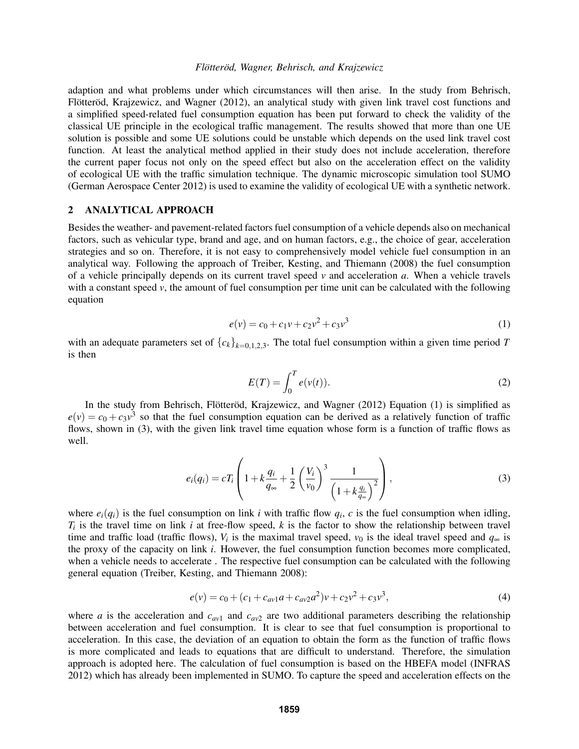adaption and what problems under which circumstances will then arise. In the study from Behrisch, Flötteröd, Krajzewicz, and Wagner (2012), an analytical study with given link travel cost functions and a simplified speed-related fuel consumption equation has been put forward to check the validity of the classical UE principle in the ecological traffic management. The results showed that more than one UE solution is possible and some UE solutions could be unstable which depends on the used link travel cost function. At least the analytical method applied in their study does not include acceleration, therefore the current paper focus not only on the speed effect but also on the acceleration effect on the validity of ecological UE with the traffic simulation technique. The dynamic microscopic simulation tool SUMO (German Aerospace Center 2012) is used to examine the validity of ecological UE with a synthetic network.

#### 2 ANALYTICAL APPROACH

Besides the weather- and pavement-related factors fuel consumption of a vehicle depends also on mechanical factors, such as vehicular type, brand and age, and on human factors, e.g., the choice of gear, acceleration strategies and so on. Therefore, it is not easy to comprehensively model vehicle fuel consumption in an analytical way. Following the approach of Treiber, Kesting, and Thiemann (2008) the fuel consumption of a vehicle principally depends on its current travel speed  $\nu$  and acceleration  $a$ . When a vehicle travels with a constant speed  $\nu$ , the amount of fuel consumption per time unit can be calculated with the following equation

$$
e(v) = c_0 + c_1 v + c_2 v^2 + c_3 v^3
$$
 (1)

with an adequate parameters set of  ${c_k}_{k=0,1,2,3}$ . The total fuel consumption within a given time period *T* is then

$$
E(T) = \int_0^T e(v(t)).
$$
 (2)

In the study from Behrisch, Flötteröd, Krajzewicz, and Wagner (2012) Equation (1) is simplified as  $e(v) = c_0 + c_3 v^3$  so that the fuel consumption equation can be derived as a relatively function of traffic flows, shown in (3), with the given link travel time equation whose form is a function of traffic flows as well.

$$
e_i(q_i) = cT_i \left( 1 + k \frac{q_i}{q_\infty} + \frac{1}{2} \left( \frac{V_i}{v_0} \right)^3 \frac{1}{\left( 1 + k \frac{q_i}{q_\infty} \right)^2} \right),\tag{3}
$$

where  $e_i(q_i)$  is the fuel consumption on link *i* with traffic flow  $q_i$ , *c* is the fuel consumption when idling,  $T_i$  is the travel time on link *i* at free-flow speed, *k* is the factor to show the relationship between travel time and traffic load (traffic flows),  $V_i$  is the maximal travel speed,  $v_0$  is the ideal travel speed and  $q_{\infty}$  is the proxy of the capacity on link *i*. However, the fuel consumption function becomes more complicated, when a vehicle needs to accelerate . The respective fuel consumption can be calculated with the following general equation (Treiber, Kesting, and Thiemann 2008):

$$
e(v) = c_0 + (c_1 + c_{av1}a + c_{av2}a^2)v + c_2v^2 + c_3v^3,
$$
\n(4)

where *a* is the acceleration and  $c_{av1}$  and  $c_{av2}$  are two additional parameters describing the relationship between acceleration and fuel consumption. It is clear to see that fuel consumption is proportional to acceleration. In this case, the deviation of an equation to obtain the form as the function of traffic flows is more complicated and leads to equations that are difficult to understand. Therefore, the simulation approach is adopted here. The calculation of fuel consumption is based on the HBEFA model (INFRAS 2012) which has already been implemented in SUMO. To capture the speed and acceleration effects on the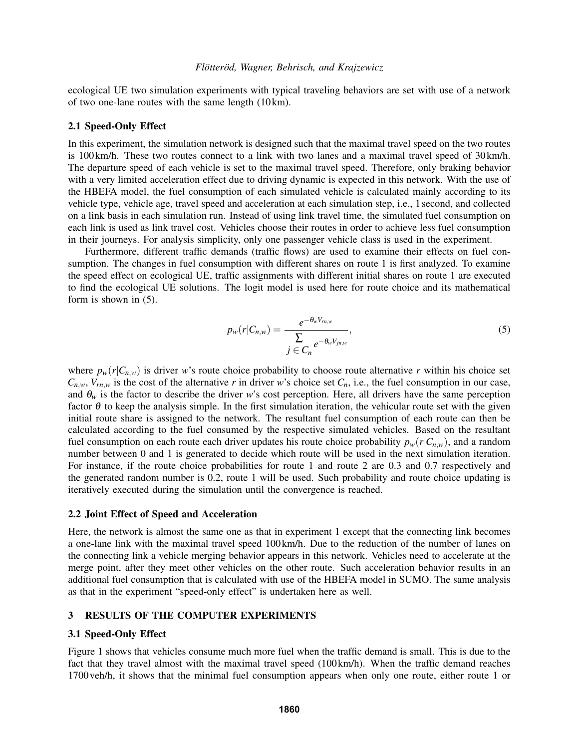ecological UE two simulation experiments with typical traveling behaviors are set with use of a network of two one-lane routes with the same length (10 km).

#### 2.1 Speed-Only Effect

In this experiment, the simulation network is designed such that the maximal travel speed on the two routes is 100 km/h. These two routes connect to a link with two lanes and a maximal travel speed of 30 km/h. The departure speed of each vehicle is set to the maximal travel speed. Therefore, only braking behavior with a very limited acceleration effect due to driving dynamic is expected in this network. With the use of the HBEFA model, the fuel consumption of each simulated vehicle is calculated mainly according to its vehicle type, vehicle age, travel speed and acceleration at each simulation step, i.e., 1 second, and collected on a link basis in each simulation run. Instead of using link travel time, the simulated fuel consumption on each link is used as link travel cost. Vehicles choose their routes in order to achieve less fuel consumption in their journeys. For analysis simplicity, only one passenger vehicle class is used in the experiment.

Furthermore, different traffic demands (traffic flows) are used to examine their effects on fuel consumption. The changes in fuel consumption with different shares on route 1 is first analyzed. To examine the speed effect on ecological UE, traffic assignments with different initial shares on route 1 are executed to find the ecological UE solutions. The logit model is used here for route choice and its mathematical form is shown in (5).

$$
p_{w}(r|C_{n,w}) = \frac{e^{-\theta_{w}V_{m,w}}}{\sum_{j \in C_{n}} e^{-\theta_{w}V_{j_{n,w}}}},
$$
\n(5)

where  $p_w(r|C_{n,w})$  is driver *w*'s route choice probability to choose route alternative *r* within his choice set  $C_{n,w}$ ,  $V_{rn,w}$  is the cost of the alternative *r* in driver *w*'s choice set  $C_n$ , i.e., the fuel consumption in our case, and  $\theta_w$  is the factor to describe the driver *w*'s cost perception. Here, all drivers have the same perception factor  $\theta$  to keep the analysis simple. In the first simulation iteration, the vehicular route set with the given initial route share is assigned to the network. The resultant fuel consumption of each route can then be calculated according to the fuel consumed by the respective simulated vehicles. Based on the resultant fuel consumption on each route each driver updates his route choice probability  $p_w(r|C_{n,w})$ , and a random number between 0 and 1 is generated to decide which route will be used in the next simulation iteration. For instance, if the route choice probabilities for route 1 and route 2 are 0.3 and 0.7 respectively and the generated random number is 0.2, route 1 will be used. Such probability and route choice updating is iteratively executed during the simulation until the convergence is reached.

#### 2.2 Joint Effect of Speed and Acceleration

Here, the network is almost the same one as that in experiment 1 except that the connecting link becomes a one-lane link with the maximal travel speed 100 km/h. Due to the reduction of the number of lanes on the connecting link a vehicle merging behavior appears in this network. Vehicles need to accelerate at the merge point, after they meet other vehicles on the other route. Such acceleration behavior results in an additional fuel consumption that is calculated with use of the HBEFA model in SUMO. The same analysis as that in the experiment "speed-only effect" is undertaken here as well.

# 3 RESULTS OF THE COMPUTER EXPERIMENTS

#### 3.1 Speed-Only Effect

Figure 1 shows that vehicles consume much more fuel when the traffic demand is small. This is due to the fact that they travel almost with the maximal travel speed (100 km/h). When the traffic demand reaches 1700 veh/h, it shows that the minimal fuel consumption appears when only one route, either route 1 or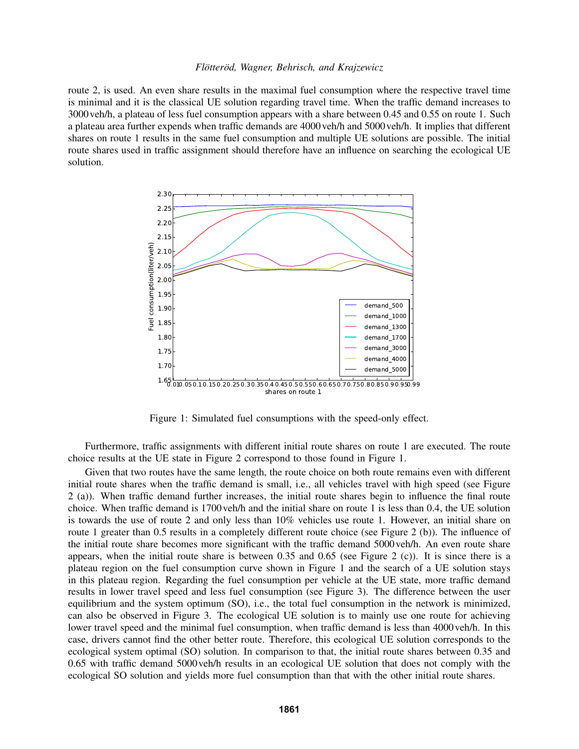route 2, is used. An even share results in the maximal fuel consumption where the respective travel time is minimal and it is the classical UE solution regarding travel time. When the traffic demand increases to 3000 veh/h, a plateau of less fuel consumption appears with a share between 0.45 and 0.55 on route 1. Such a plateau area further expends when traffic demands are 4000 veh/h and 5000 veh/h. It implies that different shares on route 1 results in the same fuel consumption and multiple UE solutions are possible. The initial route shares used in traffic assignment should therefore have an influence on searching the ecological UE solution.



Figure 1: Simulated fuel consumptions with the speed-only effect.

Furthermore, traffic assignments with different initial route shares on route 1 are executed. The route choice results at the UE state in Figure 2 correspond to those found in Figure 1.

Given that two routes have the same length, the route choice on both route remains even with different initial route shares when the traffic demand is small, i.e., all vehicles travel with high speed (see Figure 2 (a)). When traffic demand further increases, the initial route shares begin to influence the final route choice. When traffic demand is 1700 veh/h and the initial share on route 1 is less than 0.4, the UE solution is towards the use of route 2 and only less than 10% vehicles use route 1. However, an initial share on route 1 greater than 0.5 results in a completely different route choice (see Figure 2 (b)). The influence of the initial route share becomes more significant with the traffic demand 5000 veh/h. An even route share appears, when the initial route share is between  $0.35$  and  $0.65$  (see Figure 2 (c)). It is since there is a plateau region on the fuel consumption curve shown in Figure 1 and the search of a UE solution stays in this plateau region. Regarding the fuel consumption per vehicle at the UE state, more traffic demand results in lower travel speed and less fuel consumption (see Figure 3). The difference between the user equilibrium and the system optimum (SO), i.e., the total fuel consumption in the network is minimized, can also be observed in Figure 3. The ecological UE solution is to mainly use one route for achieving lower travel speed and the minimal fuel consumption, when traffic demand is less than 4000 veh/h. In this case, drivers cannot find the other better route. Therefore, this ecological UE solution corresponds to the ecological system optimal (SO) solution. In comparison to that, the initial route shares between 0.35 and 0.65 with traffic demand 5000 veh/h results in an ecological UE solution that does not comply with the ecological SO solution and yields more fuel consumption than that with the other initial route shares.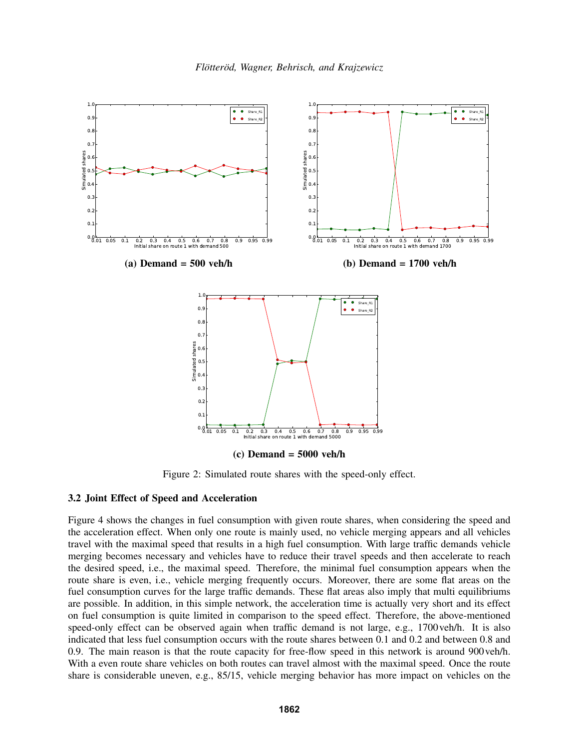

Figure 2: Simulated route shares with the speed-only effect.

#### 3.2 Joint Effect of Speed and Acceleration

Figure 4 shows the changes in fuel consumption with given route shares, when considering the speed and the acceleration effect. When only one route is mainly used, no vehicle merging appears and all vehicles travel with the maximal speed that results in a high fuel consumption. With large traffic demands vehicle merging becomes necessary and vehicles have to reduce their travel speeds and then accelerate to reach the desired speed, i.e., the maximal speed. Therefore, the minimal fuel consumption appears when the route share is even, i.e., vehicle merging frequently occurs. Moreover, there are some flat areas on the fuel consumption curves for the large traffic demands. These flat areas also imply that multi equilibriums are possible. In addition, in this simple network, the acceleration time is actually very short and its effect on fuel consumption is quite limited in comparison to the speed effect. Therefore, the above-mentioned speed-only effect can be observed again when traffic demand is not large, e.g., 1700 veh/h. It is also indicated that less fuel consumption occurs with the route shares between 0.1 and 0.2 and between 0.8 and 0.9. The main reason is that the route capacity for free-flow speed in this network is around 900 veh/h. With a even route share vehicles on both routes can travel almost with the maximal speed. Once the route share is considerable uneven, e.g., 85/15, vehicle merging behavior has more impact on vehicles on the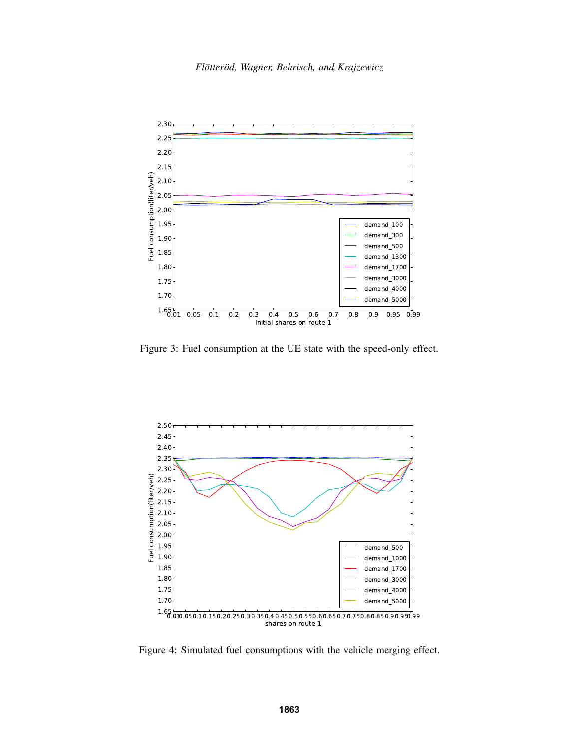

Figure 3: Fuel consumption at the UE state with the speed-only effect.



Figure 4: Simulated fuel consumptions with the vehicle merging effect.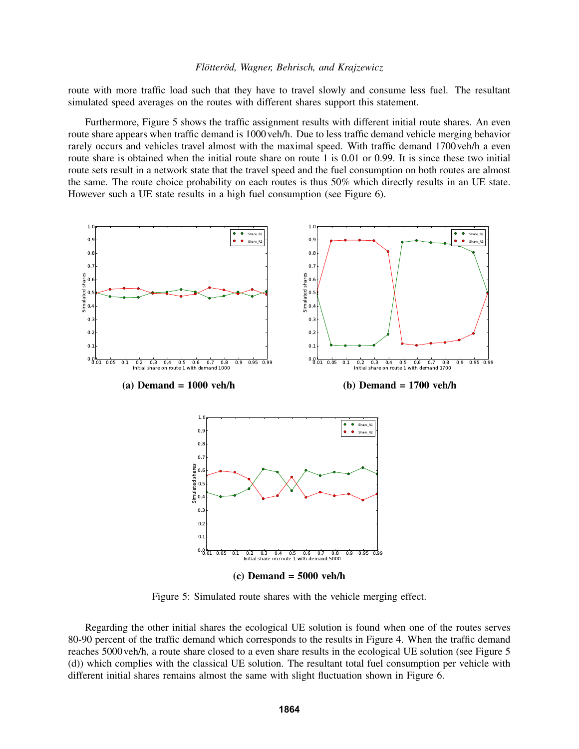route with more traffic load such that they have to travel slowly and consume less fuel. The resultant simulated speed averages on the routes with different shares support this statement.

Furthermore, Figure 5 shows the traffic assignment results with different initial route shares. An even route share appears when traffic demand is 1000 veh/h. Due to less traffic demand vehicle merging behavior rarely occurs and vehicles travel almost with the maximal speed. With traffic demand 1700 veh/h a even route share is obtained when the initial route share on route 1 is 0.01 or 0.99. It is since these two initial route sets result in a network state that the travel speed and the fuel consumption on both routes are almost the same. The route choice probability on each routes is thus 50% which directly results in an UE state. However such a UE state results in a high fuel consumption (see Figure 6).



Figure 5: Simulated route shares with the vehicle merging effect.

Regarding the other initial shares the ecological UE solution is found when one of the routes serves 80-90 percent of the traffic demand which corresponds to the results in Figure 4. When the traffic demand reaches 5000 veh/h, a route share closed to a even share results in the ecological UE solution (see Figure 5 (d)) which complies with the classical UE solution. The resultant total fuel consumption per vehicle with different initial shares remains almost the same with slight fluctuation shown in Figure 6.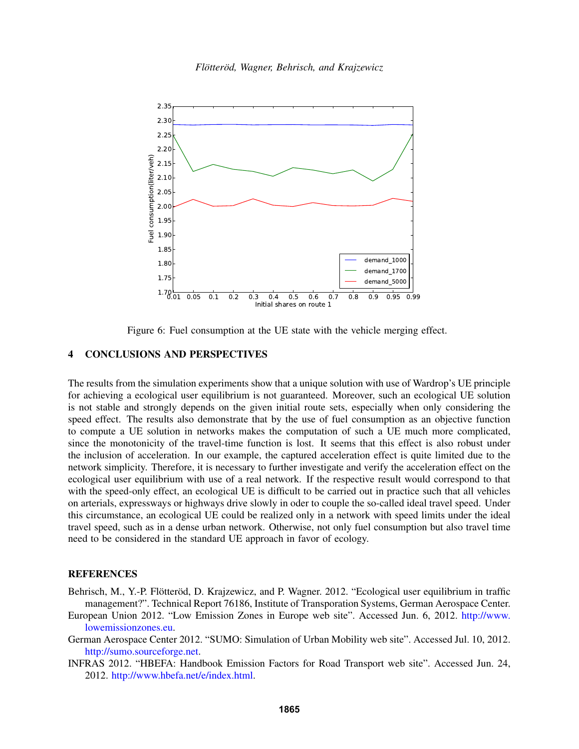

Figure 6: Fuel consumption at the UE state with the vehicle merging effect.

### 4 CONCLUSIONS AND PERSPECTIVES

The results from the simulation experiments show that a unique solution with use of Wardrop's UE principle for achieving a ecological user equilibrium is not guaranteed. Moreover, such an ecological UE solution is not stable and strongly depends on the given initial route sets, especially when only considering the speed effect. The results also demonstrate that by the use of fuel consumption as an objective function to compute a UE solution in networks makes the computation of such a UE much more complicated, since the monotonicity of the travel-time function is lost. It seems that this effect is also robust under the inclusion of acceleration. In our example, the captured acceleration effect is quite limited due to the network simplicity. Therefore, it is necessary to further investigate and verify the acceleration effect on the ecological user equilibrium with use of a real network. If the respective result would correspond to that with the speed-only effect, an ecological UE is difficult to be carried out in practice such that all vehicles on arterials, expressways or highways drive slowly in oder to couple the so-called ideal travel speed. Under this circumstance, an ecological UE could be realized only in a network with speed limits under the ideal travel speed, such as in a dense urban network. Otherwise, not only fuel consumption but also travel time need to be considered in the standard UE approach in favor of ecology.

#### **REFERENCES**

- Behrisch, M., Y.-P. Flötteröd, D. Krajzewicz, and P. Wagner. 2012. "Ecological user equilibrium in traffic management?". Technical Report 76186, Institute of Transporation Systems, German Aerospace Center.
- European Union 2012. "Low Emission Zones in Europe web site". Accessed Jun. 6, 2012. http://www. lowemissionzones.eu.
- German Aerospace Center 2012. "SUMO: Simulation of Urban Mobility web site". Accessed Jul. 10, 2012. http://sumo.sourceforge.net.
- INFRAS 2012. "HBEFA: Handbook Emission Factors for Road Transport web site". Accessed Jun. 24, 2012. http://www.hbefa.net/e/index.html.